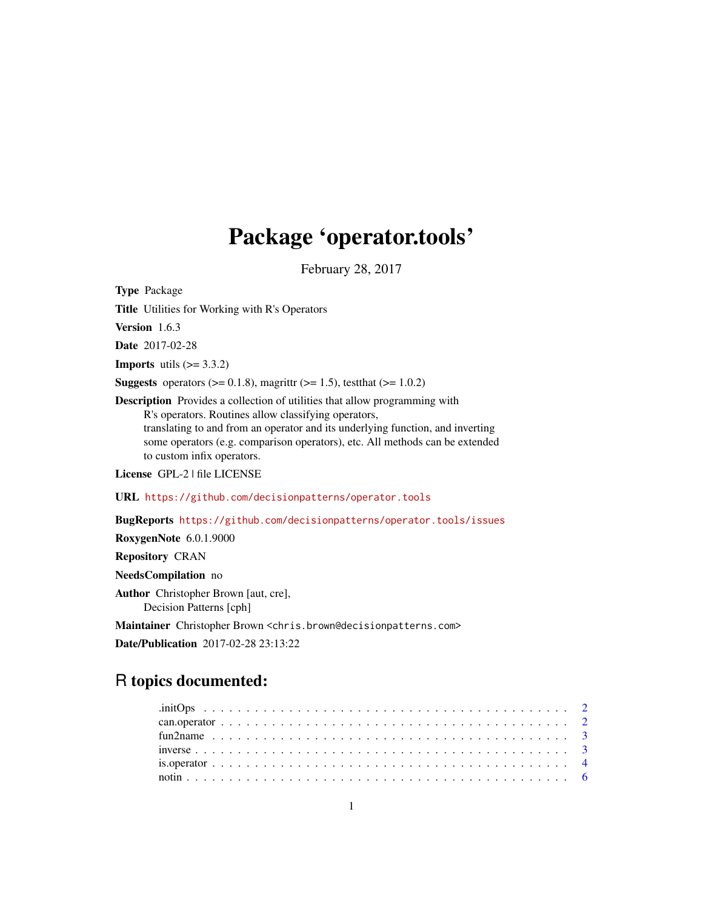# Package 'operator.tools'

February 28, 2017

<span id="page-0-0"></span>Type Package Title Utilities for Working with R's Operators Version 1.6.3 Date 2017-02-28 **Imports** utils  $(>= 3.3.2)$ **Suggests** operators ( $> = 0.1.8$ ), magrittr ( $> = 1.5$ ), test that ( $> = 1.0.2$ ) Description Provides a collection of utilities that allow programming with R's operators. Routines allow classifying operators, translating to and from an operator and its underlying function, and inverting some operators (e.g. comparison operators), etc. All methods can be extended to custom infix operators. License GPL-2 | file LICENSE URL <https://github.com/decisionpatterns/operator.tools> BugReports <https://github.com/decisionpatterns/operator.tools/issues> RoxygenNote 6.0.1.9000 Repository CRAN NeedsCompilation no Author Christopher Brown [aut, cre],

Decision Patterns [cph]

Maintainer Christopher Brown <chris.brown@decisionpatterns.com>

Date/Publication 2017-02-28 23:13:22

# R topics documented: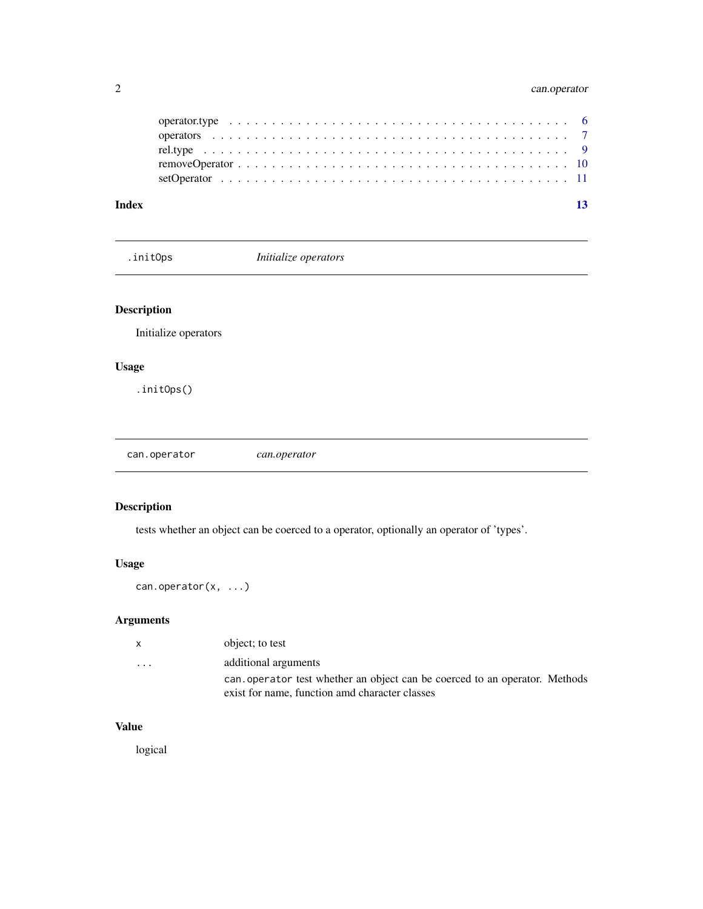# <span id="page-1-0"></span>2 can.operator

| Index |  |  |
|-------|--|--|
|       |  |  |
|       |  |  |
|       |  |  |
|       |  |  |
|       |  |  |

.initOps *Initialize operators*

# Description

Initialize operators

# Usage

.initOps()

can.operator *can.operator*

# Description

tests whether an object can be coerced to a operator, optionally an operator of 'types'.

# Usage

can.operator(x, ...)

# Arguments

| x.                      | object; to test                                                                                                               |
|-------------------------|-------------------------------------------------------------------------------------------------------------------------------|
| $\cdot$ $\cdot$ $\cdot$ | additional arguments                                                                                                          |
|                         | can, operator test whether an object can be coerced to an operator. Methods<br>exist for name, function amd character classes |

# Value

logical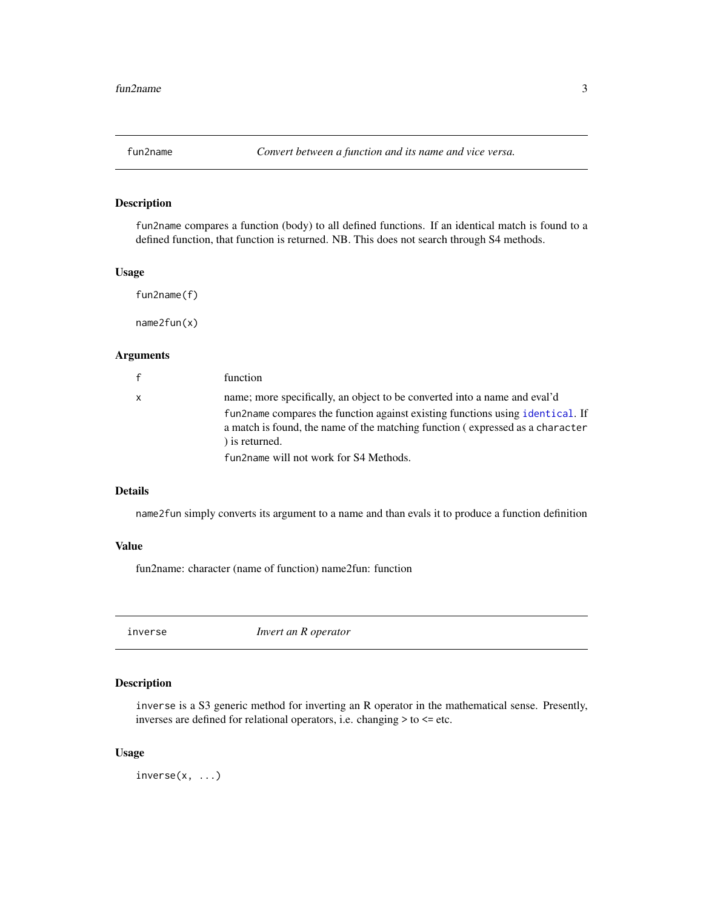<span id="page-2-0"></span>

# Description

fun2name compares a function (body) to all defined functions. If an identical match is found to a defined function, that function is returned. NB. This does not search through S4 methods.

#### Usage

fun2name(f)

name2fun(x)

# Arguments

| $\mathsf{f}$ | function                                                                                                                                                                         |
|--------------|----------------------------------------------------------------------------------------------------------------------------------------------------------------------------------|
| $\mathsf{x}$ | name; more specifically, an object to be converted into a name and eval'd                                                                                                        |
|              | fun2name compares the function against existing functions using identical. If<br>a match is found, the name of the matching function (expressed as a character<br>) is returned. |
|              | fun2name will not work for S4 Methods.                                                                                                                                           |
|              |                                                                                                                                                                                  |

#### Details

name2fun simply converts its argument to a name and than evals it to produce a function definition

# Value

fun2name: character (name of function) name2fun: function

inverse *Invert an R operator*

# Description

inverse is a S3 generic method for inverting an R operator in the mathematical sense. Presently, inverses are defined for relational operators, i.e. changing > to <= etc.

# Usage

inverse(x, ...)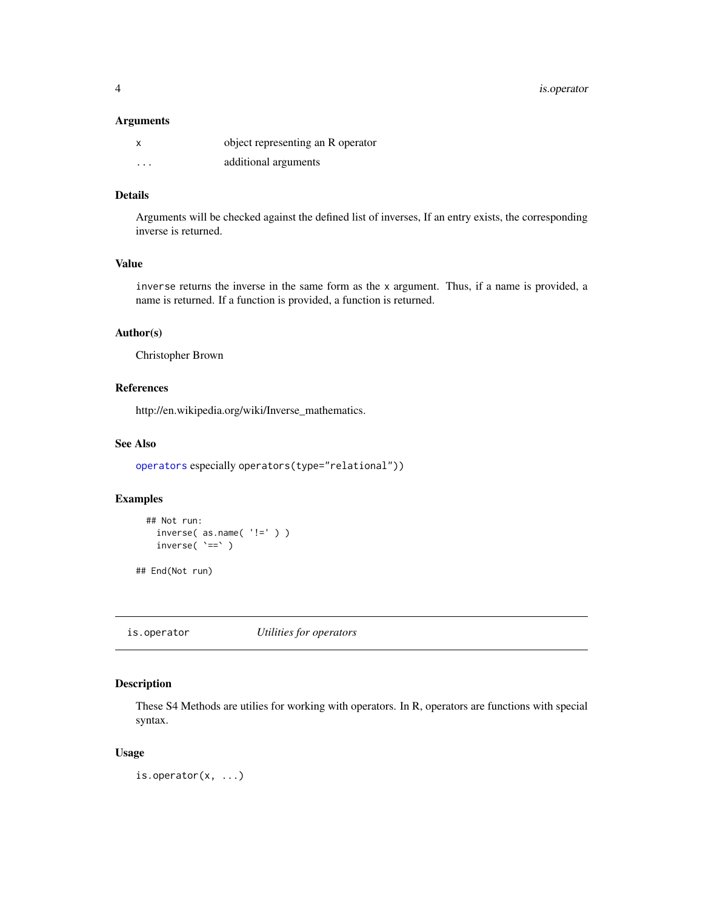<span id="page-3-0"></span>4 is.operator

### Arguments

| x        | object representing an R operator |
|----------|-----------------------------------|
| $\cdots$ | additional arguments              |

# Details

Arguments will be checked against the defined list of inverses, If an entry exists, the corresponding inverse is returned.

# Value

inverse returns the inverse in the same form as the x argument. Thus, if a name is provided, a name is returned. If a function is provided, a function is returned.

# Author(s)

Christopher Brown

# References

http://en.wikipedia.org/wiki/Inverse\_mathematics.

# See Also

[operators](#page-6-1) especially operators(type="relational"))

# Examples

```
## Not run:
  inverse( as.name( '!=' ) )
  inverse( `==` )
```
## End(Not run)

is.operator *Utilities for operators*

# Description

These S4 Methods are utilies for working with operators. In R, operators are functions with special syntax.

# Usage

is.operator(x, ...)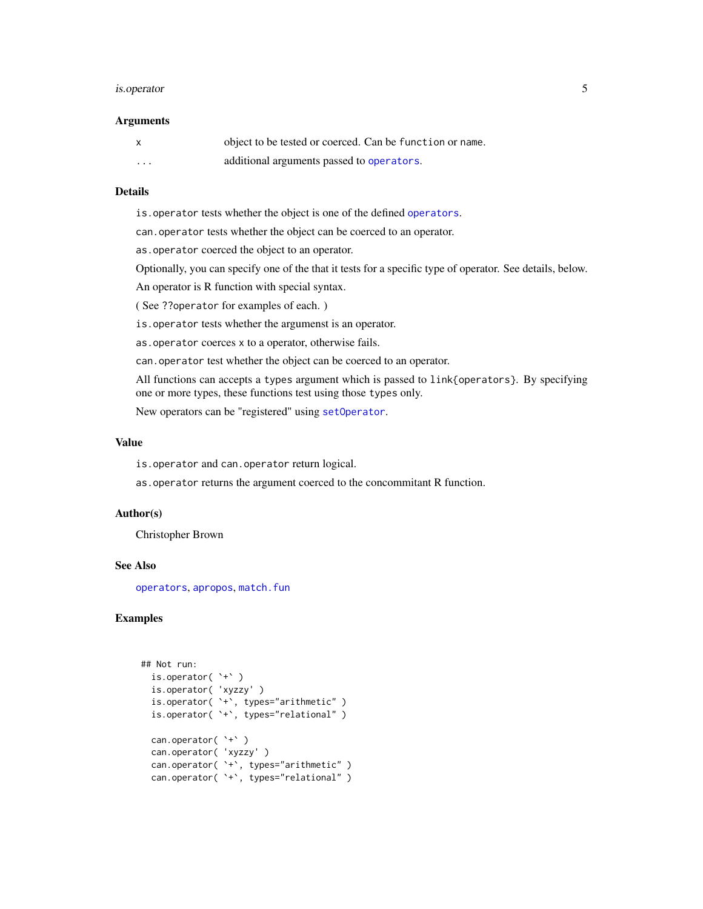#### <span id="page-4-0"></span>is.operator 5

#### **Arguments**

| $\boldsymbol{\mathsf{x}}$ | object to be tested or coerced. Can be function or name. |
|---------------------------|----------------------------------------------------------|
| $\cdot$ $\cdot$ $\cdot$   | additional arguments passed to operators.                |

# Details

is.operator tests whether the object is one of the defined [operators](#page-6-1).

can.operator tests whether the object can be coerced to an operator.

as.operator coerced the object to an operator.

Optionally, you can specify one of the that it tests for a specific type of operator. See details, below.

An operator is R function with special syntax.

( See ??operator for examples of each. )

is.operator tests whether the argumenst is an operator.

as.operator coerces x to a operator, otherwise fails.

can.operator test whether the object can be coerced to an operator.

All functions can accepts a types argument which is passed to link{operators}. By specifying one or more types, these functions test using those types only.

New operators can be "registered" using [setOperator](#page-10-1).

# Value

is.operator and can.operator return logical.

as.operator returns the argument coerced to the concommitant R function.

#### Author(s)

Christopher Brown

#### See Also

[operators](#page-6-1), [apropos](#page-0-0), [match.fun](#page-0-0)

# Examples

```
## Not run:
 is.operator( `+` )
  is.operator( 'xyzzy' )
  is.operator( `+`, types="arithmetic" )
  is.operator( `+`, types="relational" )
 can.operator( `+` )
  can.operator( 'xyzzy' )
  can.operator( `+`, types="arithmetic" )
 can.operator( `+`, types="relational" )
```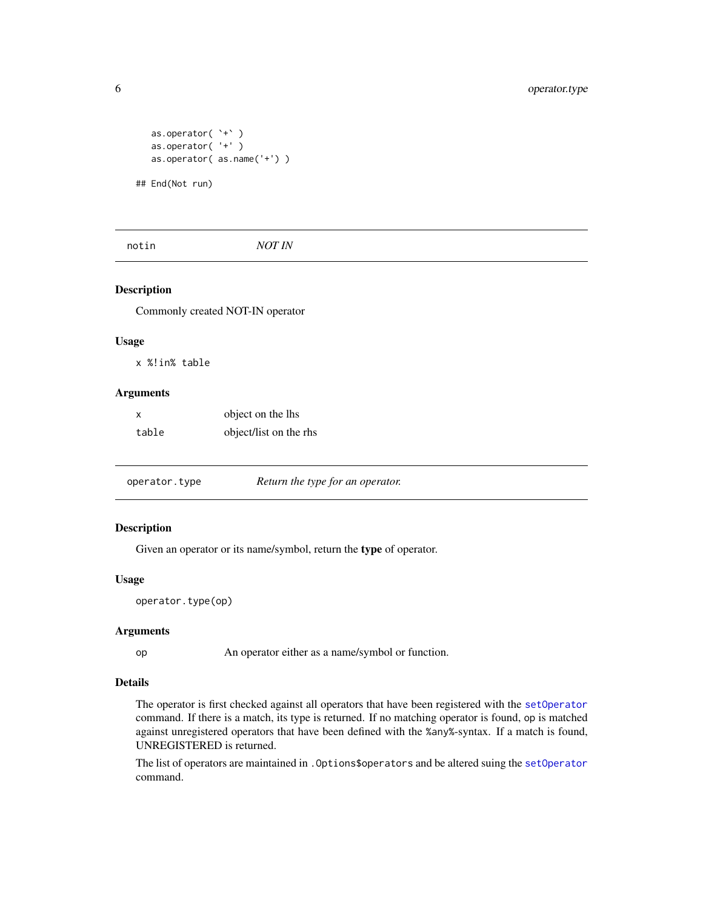```
as.operator( `+` )
as.operator( '+' )
as.operator( as.name('+') )
```
## End(Not run)

notin *NOT IN*

# Description

Commonly created NOT-IN operator

#### Usage

x %!in% table

#### Arguments

| X     | object on the lhs      |
|-------|------------------------|
| table | object/list on the rhs |

operator.type *Return the type for an operator.*

#### Description

Given an operator or its name/symbol, return the type of operator.

# Usage

```
operator.type(op)
```
#### Arguments

op An operator either as a name/symbol or function.

# Details

The operator is first checked against all operators that have been registered with the [setOperator](#page-10-1) command. If there is a match, its type is returned. If no matching operator is found, op is matched against unregistered operators that have been defined with the %any%-syntax. If a match is found, UNREGISTERED is returned.

The list of operators are maintained in .Options\$operators and be altered suing the [setOperator](#page-10-1) command.

<span id="page-5-0"></span>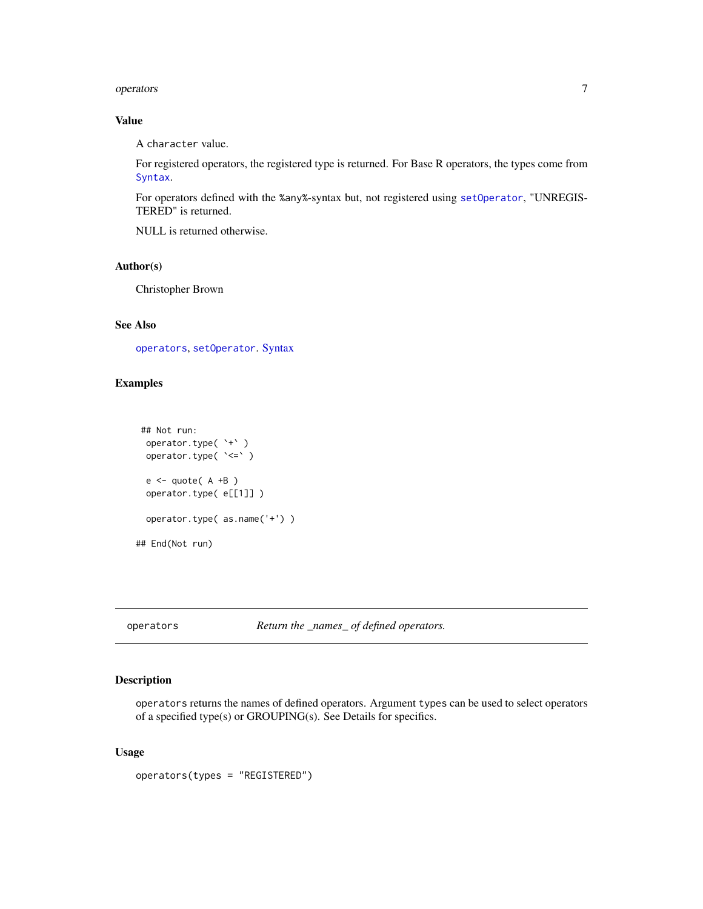#### <span id="page-6-0"></span>operators 7

# Value

A character value.

For registered operators, the registered type is returned. For Base R operators, the types come from [Syntax](#page-0-0).

For operators defined with the %any%-syntax but, not registered using [setOperator](#page-10-1), "UNREGIS-TERED" is returned.

NULL is returned otherwise.

#### Author(s)

Christopher Brown

# See Also

[operators](#page-6-1), [setOperator](#page-10-1). [Syntax](#page-0-0)

# Examples

```
## Not run:
  operator.type( `+` )
  operator.type( `<=` )
  e \leftarrow \text{quote}(A + B)operator.type( e[[1]] )
  operator.type( as.name('+') )
## End(Not run)
```
<span id="page-6-1"></span>operators *Return the \_names\_ of defined operators.*

# Description

operators returns the names of defined operators. Argument types can be used to select operators of a specified type(s) or GROUPING(s). See Details for specifics.

# Usage

operators(types = "REGISTERED")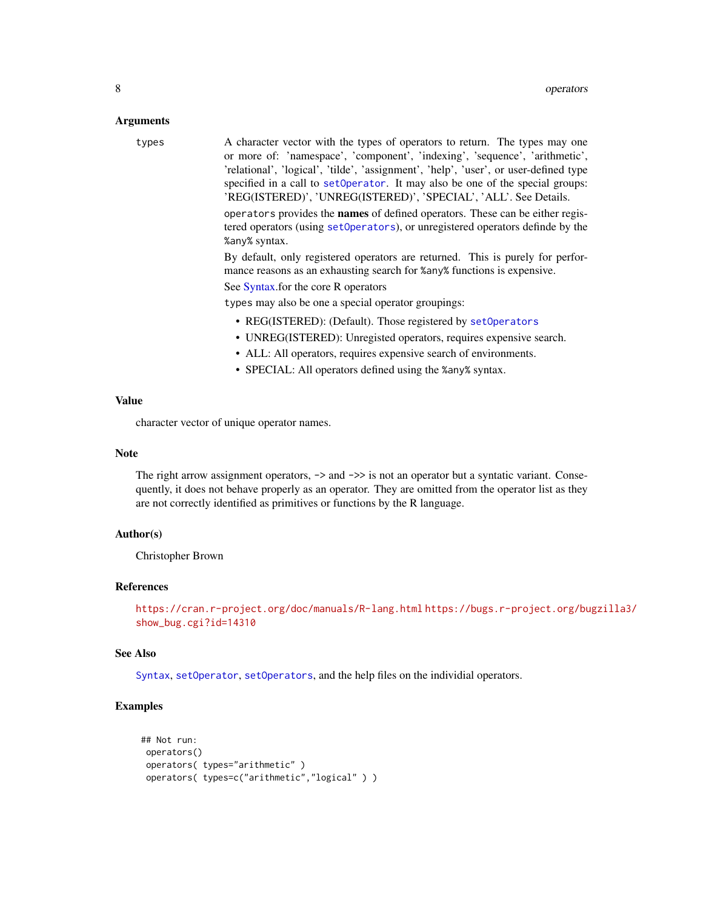#### <span id="page-7-0"></span>Arguments

types A character vector with the types of operators to return. The types may one or more of: 'namespace', 'component', 'indexing', 'sequence', 'arithmetic', 'relational', 'logical', 'tilde', 'assignment', 'help', 'user', or user-defined type specified in a call to [setOperator](#page-10-1). It may also be one of the special groups: 'REG(ISTERED)', 'UNREG(ISTERED)', 'SPECIAL', 'ALL'. See Details.

> operators provides the names of defined operators. These can be either registered operators (using [setOperators](#page-10-2)), or unregistered operators definde by the %any% syntax.

> By default, only registered operators are returned. This is purely for performance reasons as an exhausting search for %any% functions is expensive.

See [Syntax.](#page-0-0)for the core R operators

types may also be one a special operator groupings:

- REG(ISTERED): (Default). Those registered by [setOperators](#page-10-2)
- UNREG(ISTERED): Unregisted operators, requires expensive search.
- ALL: All operators, requires expensive search of environments.
- SPECIAL: All operators defined using the %any% syntax.

# Value

character vector of unique operator names.

#### Note

The right arrow assignment operators,  $\rightarrow$  and  $\rightarrow$  is not an operator but a syntatic variant. Consequently, it does not behave properly as an operator. They are omitted from the operator list as they are not correctly identified as primitives or functions by the R language.

# Author(s)

Christopher Brown

#### References

```
https://cran.r-project.org/doc/manuals/R-lang.html https://bugs.r-project.org/bugzilla3/
show_bug.cgi?id=14310
```
# See Also

[Syntax](#page-0-0), [setOperator](#page-10-1), [setOperators](#page-10-2), and the help files on the individial operators.

# **Examples**

```
## Not run:
operators()
operators( types="arithmetic" )
operators( types=c("arithmetic","logical" ) )
```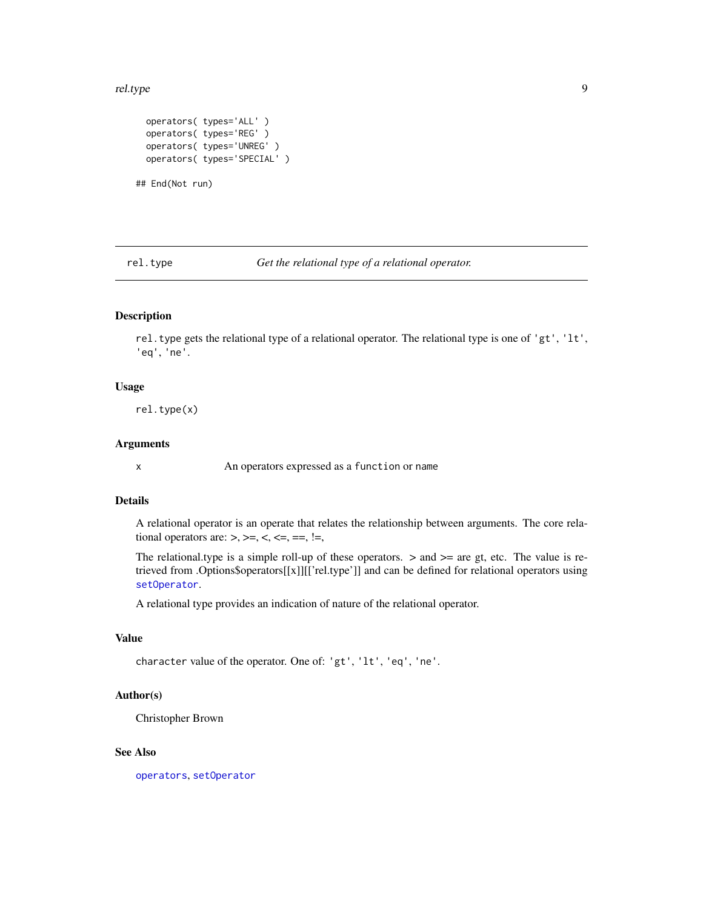#### <span id="page-8-0"></span>rel.type  $9$

```
operators( types='ALL' )
operators( types='REG' )
operators( types='UNREG' )
operators( types='SPECIAL' )
```
## End(Not run)

rel.type *Get the relational type of a relational operator.*

# Description

rel.type gets the relational type of a relational operator. The relational type is one of 'gt', 'lt', 'eq', 'ne'.

# Usage

rel.type(x)

# Arguments

x An operators expressed as a function or name

# Details

A relational operator is an operate that relates the relationship between arguments. The core relational operators are:  $>$ ,  $>=$ ,  $\lt$ ,  $\lt$ =,  $==$ ,  $!=$ ,

The relational.type is a simple roll-up of these operators.  $>$  and  $>=$  are gt, etc. The value is retrieved from .Options\$operators[[x]][['rel.type']] and can be defined for relational operators using [setOperator](#page-10-1).

A relational type provides an indication of nature of the relational operator.

# Value

character value of the operator. One of: 'gt', 'lt', 'eq', 'ne'.

# Author(s)

Christopher Brown

# See Also

[operators](#page-6-1), [setOperator](#page-10-1)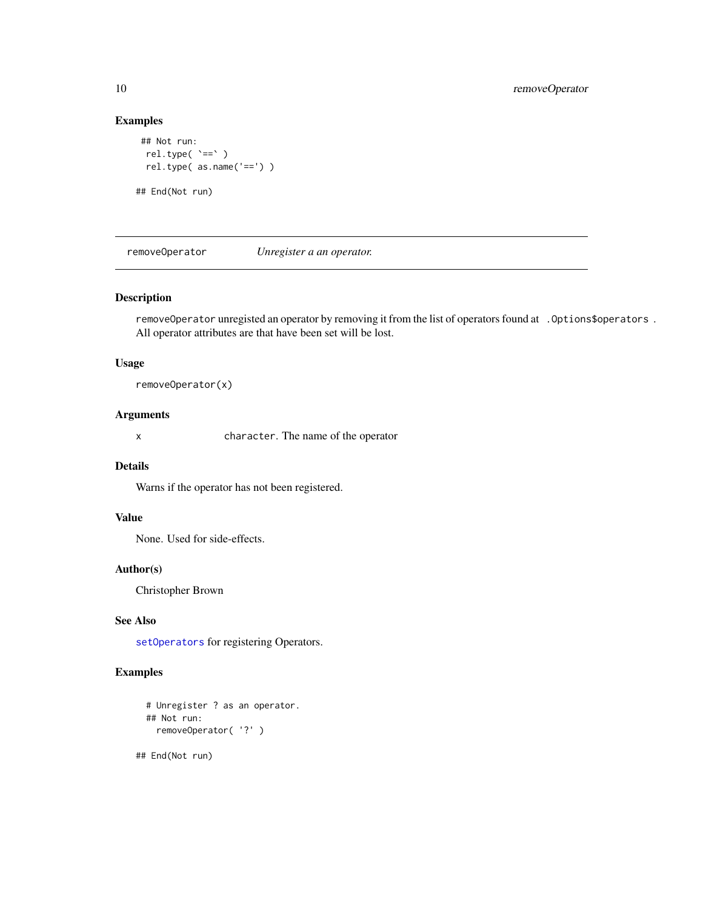# Examples

```
## Not run:
 rel.type( `==` )
 rel.type( as.name('==') )
## End(Not run)
```
removeOperator *Unregister a an operator.*

# Description

removeOperator unregisted an operator by removing it from the list of operators found at . Options\$operators . All operator attributes are that have been set will be lost.

#### Usage

removeOperator(x)

#### Arguments

x character. The name of the operator

# Details

Warns if the operator has not been registered.

# Value

None. Used for side-effects.

# Author(s)

Christopher Brown

#### See Also

[setOperators](#page-10-2) for registering Operators.

# Examples

```
# Unregister ? as an operator.
## Not run:
 removeOperator( '?' )
```
## End(Not run)

<span id="page-9-0"></span>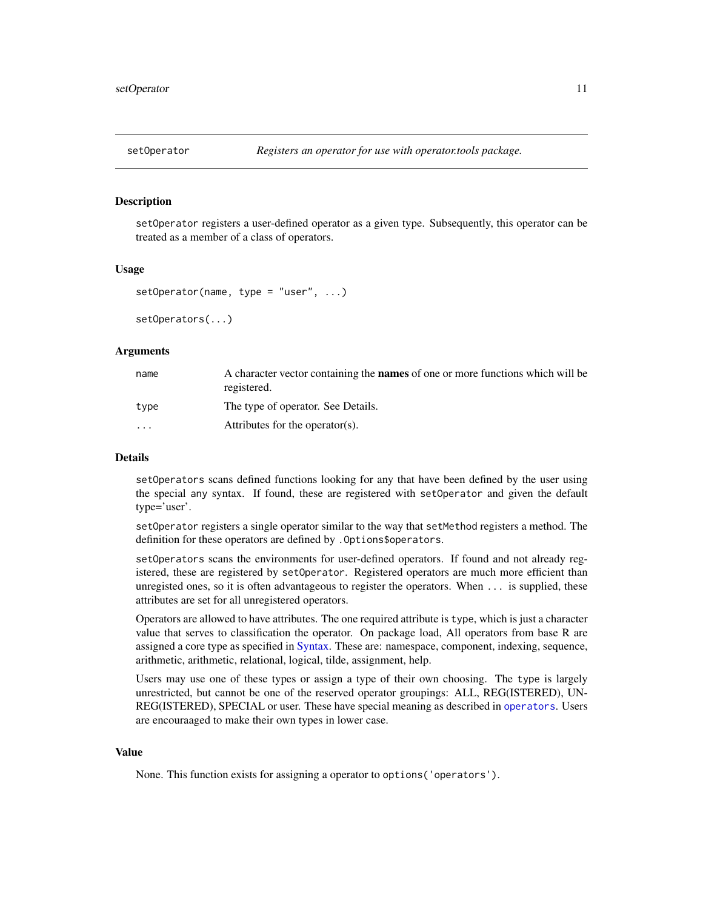<span id="page-10-1"></span><span id="page-10-0"></span>

# <span id="page-10-2"></span>Description

setOperator registers a user-defined operator as a given type. Subsequently, this operator can be treated as a member of a class of operators.

#### Usage

```
setOperator(name, type = "user", ...)
```
setOperators(...)

# Arguments

| name     | A character vector containing the <b>names</b> of one or more functions which will be<br>registered. |
|----------|------------------------------------------------------------------------------------------------------|
| tvpe     | The type of operator. See Details.                                                                   |
| $\cdots$ | Attributes for the operator(s).                                                                      |

#### Details

setOperators scans defined functions looking for any that have been defined by the user using the special any syntax. If found, these are registered with setOperator and given the default type='user'.

setOperator registers a single operator similar to the way that setMethod registers a method. The definition for these operators are defined by .Options\$operators.

setOperators scans the environments for user-defined operators. If found and not already registered, these are registered by setOperator. Registered operators are much more efficient than unregisted ones, so it is often advantageous to register the operators. When ... is supplied, these attributes are set for all unregistered operators.

Operators are allowed to have attributes. The one required attribute is type, which is just a character value that serves to classification the operator. On package load, All operators from base R are assigned a core type as specified in [Syntax.](#page-0-0) These are: namespace, component, indexing, sequence, arithmetic, arithmetic, relational, logical, tilde, assignment, help.

Users may use one of these types or assign a type of their own choosing. The type is largely unrestricted, but cannot be one of the reserved operator groupings: ALL, REG(ISTERED), UN-REG(ISTERED), SPECIAL or user. These have special meaning as described in [operators](#page-6-1). Users are encouraaged to make their own types in lower case.

# Value

None. This function exists for assigning a operator to options('operators').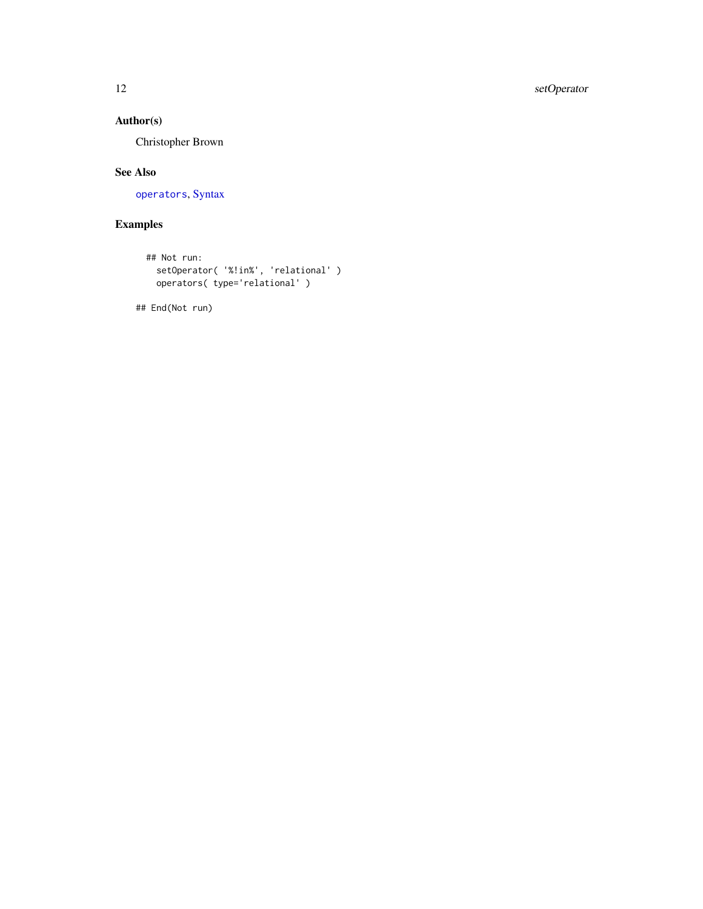# <span id="page-11-0"></span>12 setOperator

# Author(s)

Christopher Brown

# See Also

[operators](#page-6-1), [Syntax](#page-0-0)

# Examples

```
## Not run:
  setOperator( '%!in%', 'relational' )
  operators( type='relational' )
```
## End(Not run)